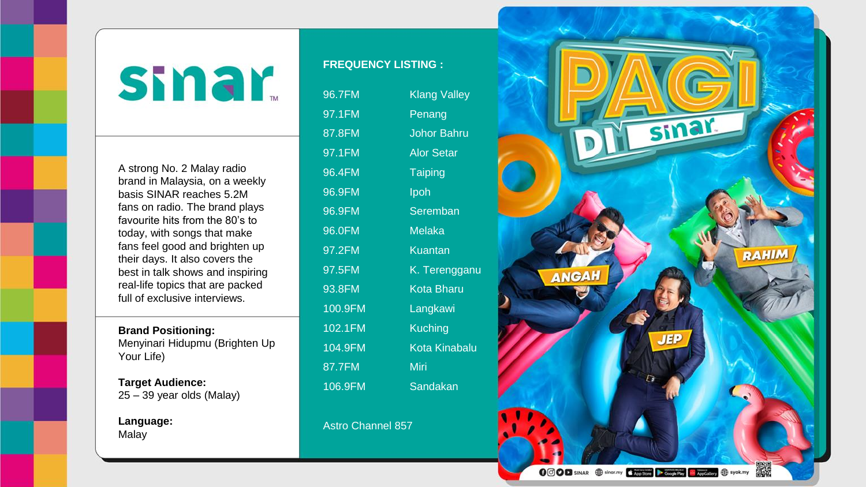## smar

A strong No. 2 Malay radio brand in Malaysia, on a weekly basis SINAR reaches 5.2M fans on radio. The brand plays favourite hits from the 80's to today, with songs that make fans feel good and brighten up their days. It also covers the best in talk shows and inspiring real-life topics that are packed full of exclusive interviews.

## **Brand Positioning:**

Menyinari Hidupmu (Brighten Up Your Life)

**Target Audience:** 25 – 39 year olds (Malay)

**Language:** Malay

## **FREQUENCY LISTING :**

| 96.7FM  | <b>Klang Valley</b>  |
|---------|----------------------|
| 97.1FM  | Penang               |
| 87.8FM  | <b>Johor Bahru</b>   |
| 97.1FM  | <b>Alor Setar</b>    |
| 96.4FM  | <b>Taiping</b>       |
| 96.9FM  | Ipoh                 |
| 96.9FM  | Seremban             |
| 96.0FM  | <b>Melaka</b>        |
| 97.2FM  | <b>Kuantan</b>       |
| 97.5FM  | K. Terenggan         |
| 93.8FM  | <b>Kota Bharu</b>    |
| 100.9FM | Langkawi             |
| 102.1FM | <b>Kuching</b>       |
| 104.9FM | <b>Kota Kinabalu</b> |
| 87.7FM  | Miri                 |
| 106.9FM | Sandakan             |

## Astro Channel 857

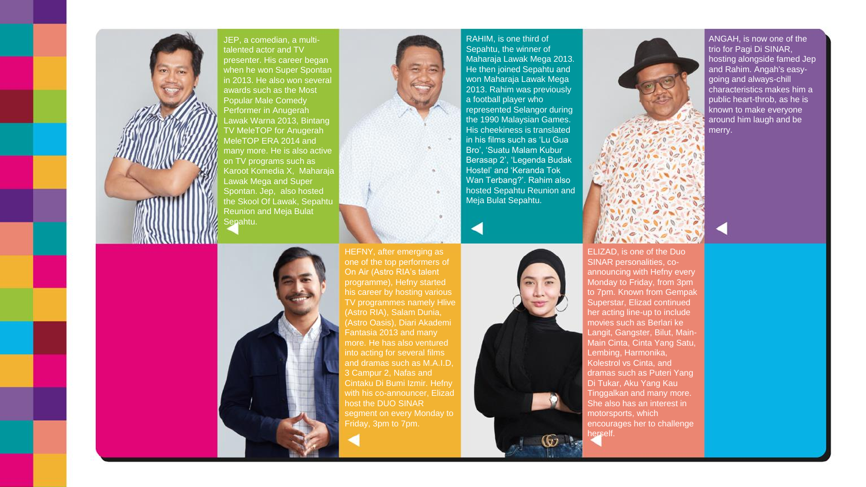

JEP, a comedian, a multitalented actor and TV presenter. His career began when he won Super Spontan in 2013. He also won several awards such as the Most Popular Male Comedy Performer in Anugerah Lawak Warna 2013, Bintang TV MeleTOP for Anugerah MeleTOP ERA 2014 and many more. He is also active on TV programs such as Karoot Komedia X, Maharaja Lawak Mega and Super Spontan. Jep, also hosted the Skool Of Lawak, Sepahtu Reunion and Meja Bulat Sepahtu.



RAHIM, is one third of Sepahtu, the winner of Maharaja Lawak Mega 2013. He then joined Sepahtu and won Maharaja Lawak Mega 2013. Rahim was previously a football player who represented Selangor during the 1990 Malaysian Games. His cheekiness is translated in his films such as 'Lu Gua Bro', 'Suatu Malam Kubur Berasap 2', 'Legenda Budak Hostel' and 'Keranda Tok Wan Terbang?'. Rahim also hosted Sepahtu Reunion and Meja Bulat Sepahtu.



ELIZAD, is one of the Duo SINAR personalities, coannouncing with Hefny every Monday to Friday, from 3pm to 7pm. Known from Gempak Superstar, Elizad continued her acting line-up to include movies such as Berlari ke Langit, Gangster, Bilut, Main-Main Cinta, Cinta Yang Satu, Lembing, Harmonika, Kolestrol vs Cinta, and dramas such as Puteri Yang Di Tukar, Aku Yang Kau Tinggalkan and many more. She also has an interest in motorsports, which encourages her to challenge herself.

ANGAH, is now one of the trio for Pagi Di SINAR, hosting alongside famed Jep and Rahim. Angah's easygoing and always-chill characteristics makes him a public heart-throb, as he is known to make everyone around him laugh and be merry.